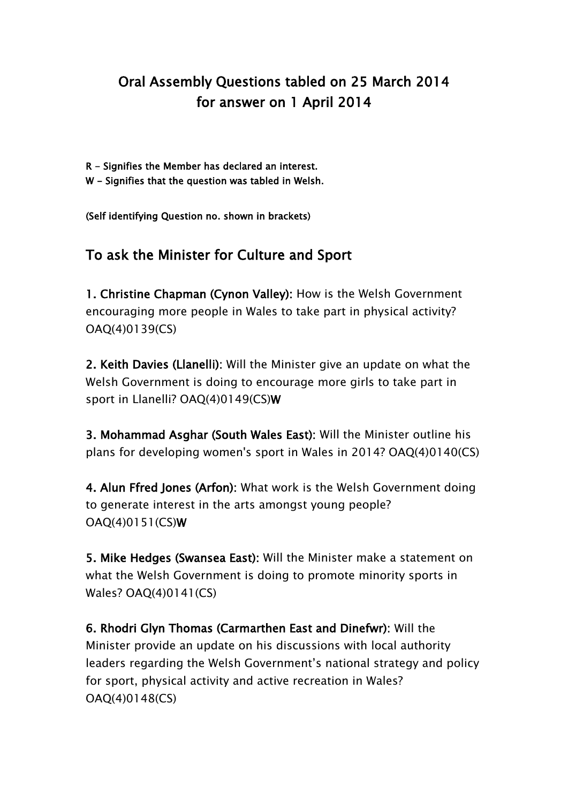## Oral Assembly Questions tabled on 25 March 2014 for answer on 1 April 2014

- R Signifies the Member has declared an interest.
- W Signifies that the question was tabled in Welsh.

(Self identifying Question no. shown in brackets)

## To ask the Minister for Culture and Sport

1. Christine Chapman (Cynon Valley): How is the Welsh Government encouraging more people in Wales to take part in physical activity? OAQ(4)0139(CS)

2. Keith Davies (Llanelli): Will the Minister give an update on what the Welsh Government is doing to encourage more girls to take part in sport in Llanelli? OAQ(4)0149(CS)W

3. Mohammad Asghar (South Wales East): Will the Minister outline his plans for developing women's sport in Wales in 2014? OAQ(4)0140(CS)

4. Alun Ffred Jones (Arfon): What work is the Welsh Government doing to generate interest in the arts amongst young people? OAQ(4)0151(CS)W

5. Mike Hedges (Swansea East): Will the Minister make a statement on what the Welsh Government is doing to promote minority sports in Wales? OAQ(4)0141(CS)

6. Rhodri Glyn Thomas (Carmarthen East and Dinefwr): Will the Minister provide an update on his discussions with local authority leaders regarding the Welsh Government's national strategy and policy for sport, physical activity and active recreation in Wales? OAQ(4)0148(CS)